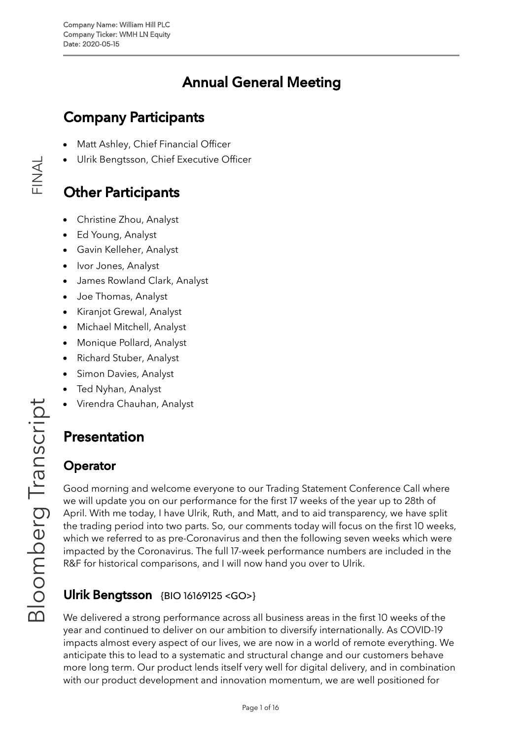# Annual General Meeting

# Company Participants

- Matt [Ashley](https://blinks.bloomberg.com/screens/BIO%2018911789), Chief Financial Officer
- Ulrik [Bengtsson,](https://blinks.bloomberg.com/screens/BIO%2016169125) Chief Executive Officer

## **Other Participants**

- [Christine](https://blinks.bloomberg.com/screens/BIO%2019697356) Zhou, Analyst
- Ed [Young](https://blinks.bloomberg.com/screens/BIO%2019792496), Analyst
- Gavin [Kelleher,](https://blinks.bloomberg.com/screens/BIO%206153663) Analyst
- Ivor [Jones](https://blinks.bloomberg.com/screens/BIO%2020535913), Analyst
- James [Rowland](https://blinks.bloomberg.com/screens/BIO%2019789495) Clark, Analyst
- Joe [Thomas,](https://blinks.bloomberg.com/screens/BIO%2016744156) Analyst
- [Kiranjot](https://blinks.bloomberg.com/screens/BIO%2019179281) Grewal, Analyst
- Michael [Mitchell,](https://blinks.bloomberg.com/screens/BIO%2018976319) Analyst
- [Monique](https://blinks.bloomberg.com/screens/BIO%2018784505) Pollard, Analyst
- [Richard](https://blinks.bloomberg.com/screens/BIO%2015216122) Stuber, Analyst
- Simon [Davies](https://blinks.bloomberg.com/screens/BIO%202558269), Analyst
- Ted [Nyhan](https://blinks.bloomberg.com/screens/BIO%2019421247), Analyst
- Virendra [Chauhan](https://blinks.bloomberg.com/screens/BIO%2020945799), Analyst

# Presentation

### **Operator**

Good morning and welcome everyone to our Trading Statement Conference Call where we will update you on our performance for the first 17 weeks of the year up to 28th of April. With me today, I have Ulrik, Ruth, and Matt, and to aid transparency, we have split the trading period into two parts. So, our comments today will focus on the first 10 weeks, which we referred to as pre-Coronavirus and then the following seven weeks which were impacted by the Coronavirus. The full 17-week performance numbers are included in the R&F for historical comparisons, and I will now hand you over to Ulrik.

## **Ulrik Bengtsson** {BIO [16169125](https://blinks.bloomberg.com/screens/BIO%2016169125) <GO>}

We delivered a strong performance across all business areas in the first 10 weeks of the year and continued to deliver on our ambition to diversify internationally. As COVID-19 impacts almost every aspect of our lives, we are now in a world of remote everything. We anticipate this to lead to a systematic and structural change and our customers behave more long term. Our product lends itself very well for digital delivery, and in combination with our product development and innovation momentum, we are well positioned for

 $\frac{\mathsf{Z}}{\mathbb{L}}$  .

 $\prec$  $\overline{\phantom{0}}$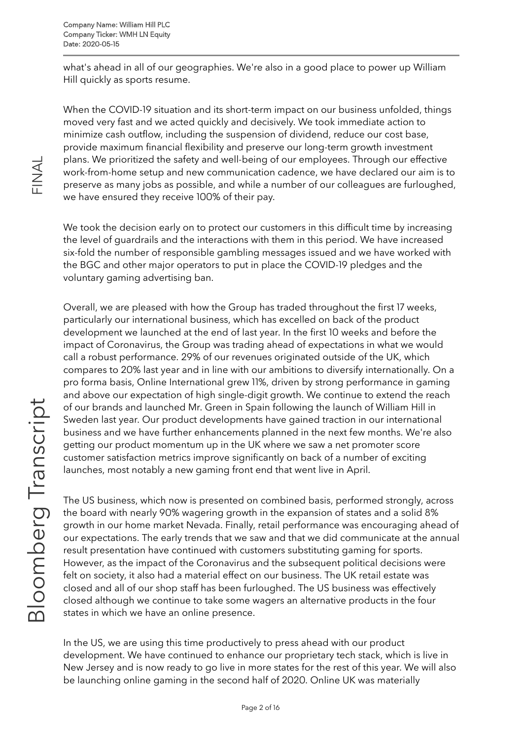what's ahead in all of our geographies. We're also in a good place to power up William Hill quickly as sports resume.

When the COVID-19 situation and its short-term impact on our business unfolded, things moved very fast and we acted quickly and decisively. We took immediate action to minimize cash outflow, including the suspension of dividend, reduce our cost base, provide maximum financial flexibility and preserve our long-term growth investment plans. We prioritized the safety and well-being of our employees. Through our effective work-from-home setup and new communication cadence, we have declared our aim is to preserve as many jobs as possible, and while a number of our colleagues are furloughed, we have ensured they receive 100% of their pay.

We took the decision early on to protect our customers in this difficult time by increasing the level of guardrails and the interactions with them in this period. We have increased six-fold the number of responsible gambling messages issued and we have worked with the BGC and other major operators to put in place the COVID-19 pledges and the voluntary gaming advertising ban.

Overall, we are pleased with how the Group has traded throughout the first 17 weeks, particularly our international business, which has excelled on back of the product development we launched at the end of last year. In the first 10 weeks and before the impact of Coronavirus, the Group was trading ahead of expectations in what we would call a robust performance. 29% of our revenues originated outside of the UK, which compares to 20% last year and in line with our ambitions to diversify internationally. On a pro forma basis, Online International grew 11%, driven by strong performance in gaming and above our expectation of high single-digit growth. We continue to extend the reach of our brands and launched Mr. Green in Spain following the launch of William Hill in Sweden last year. Our product developments have gained traction in our international business and we have further enhancements planned in the next few months. We're also getting our product momentum up in the UK where we saw a net promoter score customer satisfaction metrics improve significantly on back of a number of exciting launches, most notably a new gaming front end that went live in April.

The US business, which now is presented on combined basis, performed strongly, across the board with nearly 90% wagering growth in the expansion of states and a solid 8% growth in our home market Nevada. Finally, retail performance was encouraging ahead of our expectations. The early trends that we saw and that we did communicate at the annual result presentation have continued with customers substituting gaming for sports. However, as the impact of the Coronavirus and the subsequent political decisions were felt on society, it also had a material effect on our business. The UK retail estate was closed and all of our shop staff has been furloughed. The US business was effectively closed although we continue to take some wagers an alternative products in the four states in which we have an online presence.

In the US, we are using this time productively to press ahead with our product development. We have continued to enhance our proprietary tech stack, which is live in New Jersey and is now ready to go live in more states for the rest of this year. We will also be launching online gaming in the second half of 2020. Online UK was materially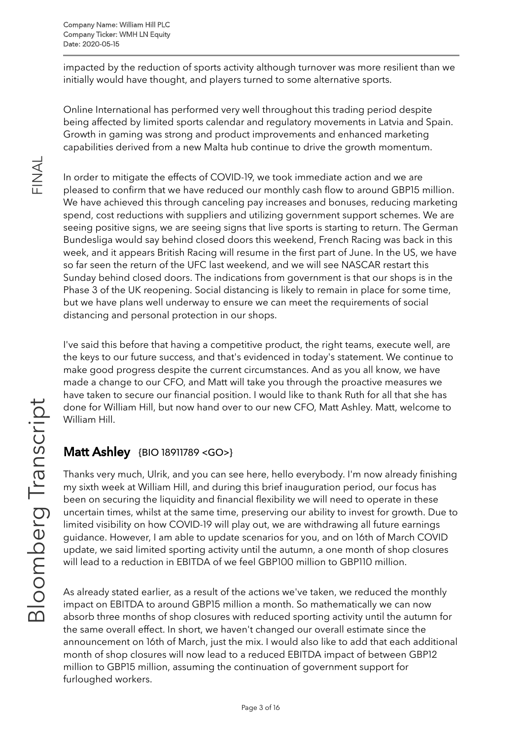impacted by the reduction of sports activity although turnover was more resilient than we initially would have thought, and players turned to some alternative sports.

Online International has performed very well throughout this trading period despite being affected by limited sports calendar and regulatory movements in Latvia and Spain. Growth in gaming was strong and product improvements and enhanced marketing capabilities derived from a new Malta hub continue to drive the growth momentum.

In order to mitigate the effects of COVID-19, we took immediate action and we are pleased to confirm that we have reduced our monthly cash flow to around GBP15 million. We have achieved this through canceling pay increases and bonuses, reducing marketing spend, cost reductions with suppliers and utilizing government support schemes. We are seeing positive signs, we are seeing signs that live sports is starting to return. The German Bundesliga would say behind closed doors this weekend, French Racing was back in this week, and it appears British Racing will resume in the first part of June. In the US, we have so far seen the return of the UFC last weekend, and we will see NASCAR restart this Sunday behind closed doors. The indications from government is that our shops is in the Phase 3 of the UK reopening. Social distancing is likely to remain in place for some time, but we have plans well underway to ensure we can meet the requirements of social distancing and personal protection in our shops.

I've said this before that having a competitive product, the right teams, execute well, are the keys to our future success, and that's evidenced in today's statement. We continue to make good progress despite the current circumstances. And as you all know, we have made a change to our CFO, and Matt will take you through the proactive measures we have taken to secure our financial position. I would like to thank Ruth for all that she has done for William Hill, but now hand over to our new CFO, Matt Ashley. Matt, welcome to William Hill. rip

#### **Matt Ashley** {BIO [18911789](https://blinks.bloomberg.com/screens/BIO%2018911789) <GO>}

Thanks very much, Ulrik, and you can see here, hello everybody. I'm now already finishing my sixth week at William Hill, and during this brief inauguration period, our focus has been on securing the liquidity and financial flexibility we will need to operate in these uncertain times, whilst at the same time, preserving our ability to invest for growth. Due to limited visibility on how COVID-19 will play out, we are withdrawing all future earnings guidance. However, I am able to update scenarios for you, and on 16th of March COVID update, we said limited sporting activity until the autumn, a one month of shop closures will lead to a reduction in EBITDA of we feel GBP100 million to GBP110 million.

As already stated earlier, as a result of the actions we've taken, we reduced the monthly impact on EBITDA to around GBP15 million a month. So mathematically we can now absorb three months of shop closures with reduced sporting activity until the autumn for the same overall effect. In short, we haven't changed our overall estimate since the announcement on 16th of March, just the mix. I would also like to add that each additional month of shop closures will now lead to a reduced EBITDA impact of between GBP12 million to GBP15 million, assuming the continuation of government support for furloughed workers.

 $\overline{\phantom{a}}$  $\sigma$  $\mathbf{\subseteq}$ ഗ  $\bigcup$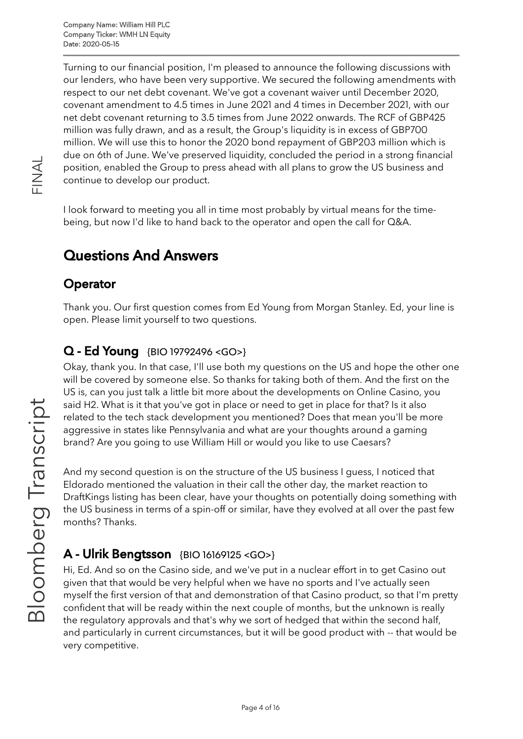Turning to our financial position, I'm pleased to announce the following discussions with our lenders, who have been very supportive. We secured the following amendments with respect to our net debt covenant. We've got a covenant waiver until December 2020, covenant amendment to 4.5 times in June 2021 and 4 times in December 2021, with our net debt covenant returning to 3.5 times from June 2022 onwards. The RCF of GBP425 million was fully drawn, and as a result, the Group's liquidity is in excess of GBP700 million. We will use this to honor the 2020 bond repayment of GBP203 million which is due on 6th of June. We've preserved liquidity, concluded the period in a strong financial position, enabled the Group to press ahead with all plans to grow the US business and continue to develop our product.

I look forward to meeting you all in time most probably by virtual means for the timebeing, but now I'd like to hand back to the operator and open the call for Q&A.

## Questions And Answers

#### **Operator**

Thank you. Our first question comes from Ed Young from Morgan Stanley. Ed, your line is open. Please limit yourself to two questions.

#### Q - Ed Young {BIO [19792496](https://blinks.bloomberg.com/screens/BIO%2019792496) <GO>}

Okay, thank you. In that case, I'll use both my questions on the US and hope the other one will be covered by someone else. So thanks for taking both of them. And the first on the US is, can you just talk a little bit more about the developments on Online Casino, you said H2. What is it that you've got in place or need to get in place for that? Is it also related to the tech stack development you mentioned? Does that mean you'll be more aggressive in states like Pennsylvania and what are your thoughts around a gaming brand? Are you going to use William Hill or would you like to use Caesars?

And my second question is on the structure of the US business I guess, I noticed that Eldorado mentioned the valuation in their call the other day, the market reaction to DraftKings listing has been clear, have your thoughts on potentially doing something with the US business in terms of a spin-off or similar, have they evolved at all over the past few months? Thanks.

### **A - Ulrik Bengtsson** {BIO [16169125](https://blinks.bloomberg.com/screens/BIO%2016169125) <GO>}

Hi, Ed. And so on the Casino side, and we've put in a nuclear effort in to get Casino out given that that would be very helpful when we have no sports and I've actually seen myself the first version of that and demonstration of that Casino product, so that I'm pretty confident that will be ready within the next couple of months, but the unknown is really the regulatory approvals and that's why we sort of hedged that within the second half, and particularly in current circumstances, but it will be good product with -- that would be very competitive.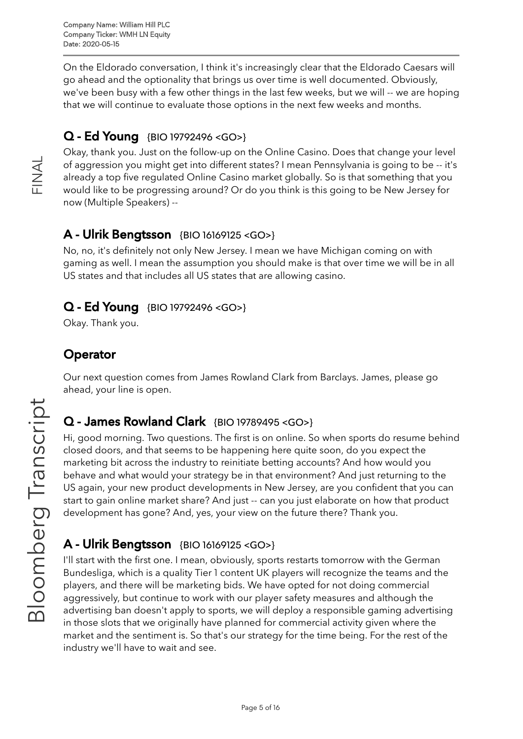On the Eldorado conversation, I think it's increasingly clear that the Eldorado Caesars will go ahead and the optionality that brings us over time is well documented. Obviously, we've been busy with a few other things in the last few weeks, but we will -- we are hoping that we will continue to evaluate those options in the next few weeks and months.

### Q - Ed Young {BIO [19792496](https://blinks.bloomberg.com/screens/BIO%2019792496) <GO>}

Okay, thank you. Just on the follow-up on the Online Casino. Does that change your level of aggression you might get into different states? I mean Pennsylvania is going to be -- it's already a top five regulated Online Casino market globally. So is that something that you would like to be progressing around? Or do you think is this going to be New Jersey for now (Multiple Speakers) --

#### A - Ulrik Bengtsson {BIO [16169125](https://blinks.bloomberg.com/screens/BIO%2016169125) <GO>}

No, no, it's definitely not only New Jersey. I mean we have Michigan coming on with gaming as well. I mean the assumption you should make is that over time we will be in all US states and that includes all US states that are allowing casino.

#### Q - Ed Young {BIO [19792496](https://blinks.bloomberg.com/screens/BIO%2019792496) <GO>}

Okay. Thank you.

### **Operator**

Our next question comes from James Rowland Clark from Barclays. James, please go ahead, your line is open.

#### Q - James Rowland Clark {BIO [19789495](https://blinks.bloomberg.com/screens/BIO%2019789495) <GO>} rip

Hi, good morning. Two questions. The first is on online. So when sports do resume behind closed doors, and that seems to be happening here quite soon, do you expect the marketing bit across the industry to reinitiate betting accounts? And how would you behave and what would your strategy be in that environment? And just returning to the US again, your new product developments in New Jersey, are you confident that you can start to gain online market share? And just -- can you just elaborate on how that product development has gone? And, yes, your view on the future there? Thank you.

### A - Ulrik Bengtsson {BIO [16169125](https://blinks.bloomberg.com/screens/BIO%2016169125) <GO>}

I'll start with the first one. I mean, obviously, sports restarts tomorrow with the German Bundesliga, which is a quality Tier 1 content UK players will recognize the teams and the players, and there will be marketing bids. We have opted for not doing commercial aggressively, but continue to work with our player safety measures and although the advertising ban doesn't apply to sports, we will deploy a responsible gaming advertising in those slots that we originally have planned for commercial activity given where the market and the sentiment is. So that's our strategy for the time being. For the rest of the industry we'll have to wait and see.  $\frac{\circ}{\text{D}}$ 

oE

 $\overline{\mathcal{O}}$  $\mathbb O$  $\overline{\phantom{0}}$  $\bigcirc$ 

 $\overline{\phantom{a}}$  $\sigma$  $\mathbf{\subseteq}$ ഗ  $\bigcup$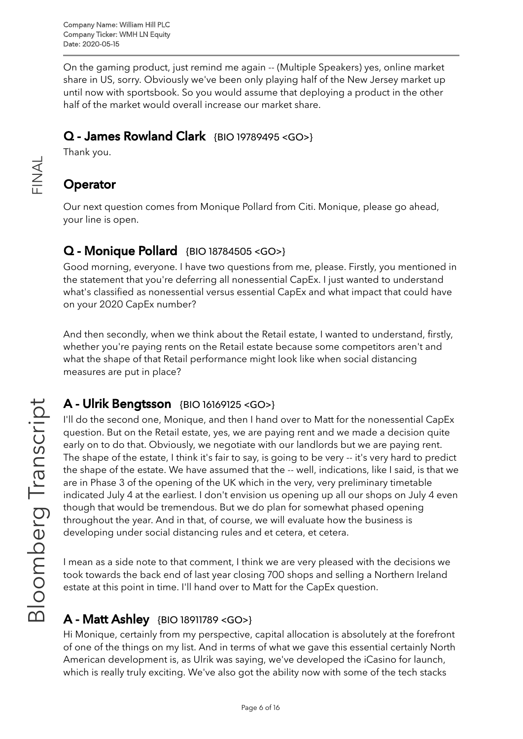On the gaming product, just remind me again -- (Multiple Speakers) yes, online market share in US, sorry. Obviously we've been only playing half of the New Jersey market up until now with sportsbook. So you would assume that deploying a product in the other half of the market would overall increase our market share.

### Q - James Rowland Clark {BIO [19789495](https://blinks.bloomberg.com/screens/BIO%2019789495) <GO>}

Thank you.

### **Operator**

 $\frac{\mathsf{Z}}{\mathbb{L}}$  .

 $\prec$  $\overline{\phantom{0}}$ 

> Our next question comes from Monique Pollard from Citi. Monique, please go ahead, your line is open.

### Q - Monique Pollard {BIO [18784505](https://blinks.bloomberg.com/screens/BIO%2018784505) <GO>}

Good morning, everyone. I have two questions from me, please. Firstly, you mentioned in the statement that you're deferring all nonessential CapEx. I just wanted to understand what's classified as nonessential versus essential CapEx and what impact that could have on your 2020 CapEx number?

And then secondly, when we think about the Retail estate, I wanted to understand, firstly, whether you're paying rents on the Retail estate because some competitors aren't and what the shape of that Retail performance might look like when social distancing measures are put in place?

#### A - Ulrik Bengtsson {BIO [16169125](https://blinks.bloomberg.com/screens/BIO%2016169125) <GO>}

I'll do the second one, Monique, and then I hand over to Matt for the nonessential CapEx question. But on the Retail estate, yes, we are paying rent and we made a decision quite early on to do that. Obviously, we negotiate with our landlords but we are paying rent. The shape of the estate, I think it's fair to say, is going to be very -- it's very hard to predict the shape of the estate. We have assumed that the -- well, indications, like I said, is that we are in Phase 3 of the opening of the UK which in the very, very preliminary timetable indicated July 4 at the earliest. I don't envision us opening up all our shops on July 4 even though that would be tremendous. But we do plan for somewhat phased opening throughout the year. And in that, of course, we will evaluate how the business is developing under social distancing rules and et cetera, et cetera.

I mean as a side note to that comment, I think we are very pleased with the decisions we took towards the back end of last year closing 700 shops and selling a Northern Ireland estate at this point in time. I'll hand over to Matt for the CapEx question.

### A - Matt Ashley {BIO [18911789](https://blinks.bloomberg.com/screens/BIO%2018911789) <GO>}

Hi Monique, certainly from my perspective, capital allocation is absolutely at the forefront of one of the things on my list. And in terms of what we gave this essential certainly North American development is, as Ulrik was saying, we've developed the iCasino for launch, which is really truly exciting. We've also got the ability now with some of the tech stacks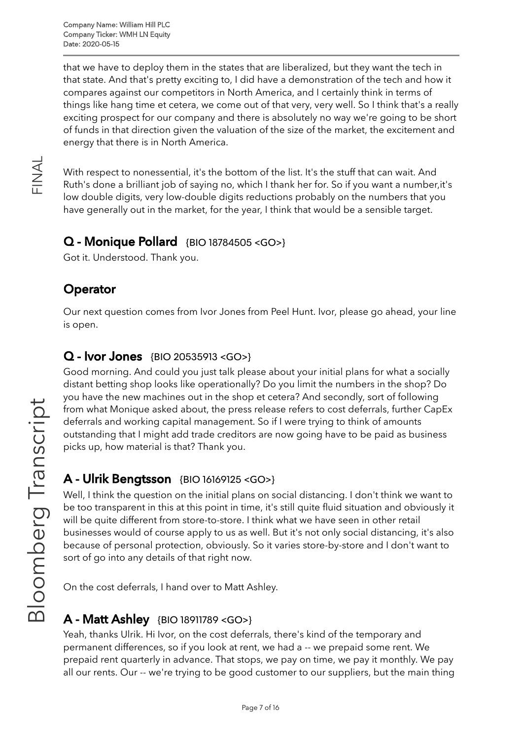that we have to deploy them in the states that are liberalized, but they want the tech in that state. And that's pretty exciting to, I did have a demonstration of the tech and how it compares against our competitors in North America, and I certainly think in terms of things like hang time et cetera, we come out of that very, very well. So I think that's a really exciting prospect for our company and there is absolutely no way we're going to be short of funds in that direction given the valuation of the size of the market, the excitement and energy that there is in North America.

With respect to nonessential, it's the bottom of the list. It's the stuff that can wait. And Ruth's done a brilliant job of saying no, which I thank her for. So if you want a number,it's low double digits, very low-double digits reductions probably on the numbers that you have generally out in the market, for the year, I think that would be a sensible target.

### $Q$  - Monique Pollard  $\{BIO\}$  [18784505](https://blinks.bloomberg.com/screens/BIO%2018784505) <GO>}

Got it. Understood. Thank you.

### **Operator**

 $\frac{\mathsf{Z}}{\mathbb{L}}$  .

 $\prec$  $\overline{\phantom{0}}$ 

> Our next question comes from Ivor Jones from Peel Hunt. Ivor, please go ahead, your line is open.

#### Q - Ivor Jones {BIO [20535913](https://blinks.bloomberg.com/screens/BIO%2020535913) <GO>}

Good morning. And could you just talk please about your initial plans for what a socially distant betting shop looks like operationally? Do you limit the numbers in the shop? Do you have the new machines out in the shop et cetera? And secondly, sort of following from what Monique asked about, the press release refers to cost deferrals, further CapEx deferrals and working capital management. So if I were trying to think of amounts outstanding that I might add trade creditors are now going have to be paid as business picks up, how material is that? Thank you.

#### A - Ulrik Bengtsson {BIO [16169125](https://blinks.bloomberg.com/screens/BIO%2016169125) <GO>}

Well, I think the question on the initial plans on social distancing. I don't think we want to be too transparent in this at this point in time, it's still quite fluid situation and obviously it will be quite different from store-to-store. I think what we have seen in other retail businesses would of course apply to us as well. But it's not only social distancing, it's also because of personal protection, obviously. So it varies store-by-store and I don't want to sort of go into any details of that right now.

On the cost deferrals, I hand over to Matt Ashley.

### A - Matt Ashley {BIO [18911789](https://blinks.bloomberg.com/screens/BIO%2018911789) <GO>}

Yeah, thanks Ulrik. Hi Ivor, on the cost deferrals, there's kind of the temporary and permanent differences, so if you look at rent, we had a -- we prepaid some rent. We prepaid rent quarterly in advance. That stops, we pay on time, we pay it monthly. We pay all our rents. Our -- we're trying to be good customer to our suppliers, but the main thing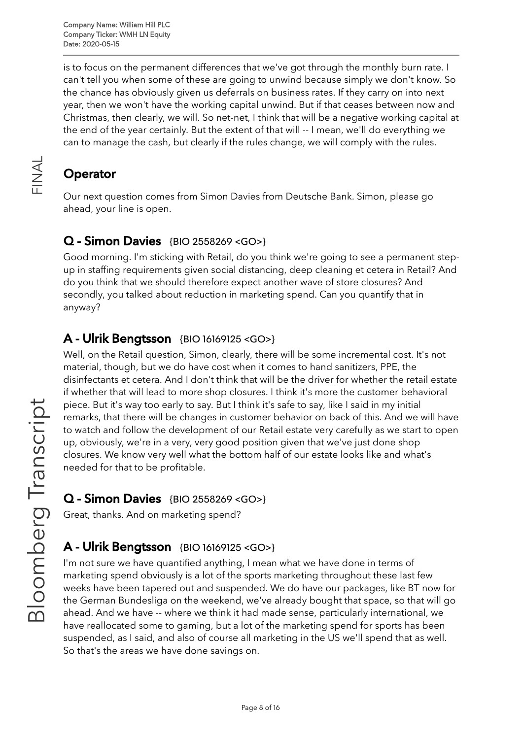Company Name: William Hill PLC Company Ticker: WMH LN Equity Date: 2020-05-15

is to focus on the permanent differences that we've got through the monthly burn rate. I can't tell you when some of these are going to unwind because simply we don't know. So the chance has obviously given us deferrals on business rates. If they carry on into next year, then we won't have the working capital unwind. But if that ceases between now and Christmas, then clearly, we will. So net-net, I think that will be a negative working capital at the end of the year certainly. But the extent of that will -- I mean, we'll do everything we can to manage the cash, but clearly if the rules change, we will comply with the rules.

### **Operator**

 $\frac{\mathsf{Z}}{\mathbb{L}}$  .

 $\prec$  $\overline{\phantom{0}}$ 

> Our next question comes from Simon Davies from Deutsche Bank. Simon, please go ahead, your line is open.

#### Q - Simon Davies {BIO [2558269](https://blinks.bloomberg.com/screens/BIO%202558269) <GO>}

Good morning. I'm sticking with Retail, do you think we're going to see a permanent stepup in staffing requirements given social distancing, deep cleaning et cetera in Retail? And do you think that we should therefore expect another wave of store closures? And secondly, you talked about reduction in marketing spend. Can you quantify that in anyway?

#### A - Ulrik Bengtsson {BIO [16169125](https://blinks.bloomberg.com/screens/BIO%2016169125) <GO>}

Well, on the Retail question, Simon, clearly, there will be some incremental cost. It's not material, though, but we do have cost when it comes to hand sanitizers, PPE, the disinfectants et cetera. And I don't think that will be the driver for whether the retail estate if whether that will lead to more shop closures. I think it's more the customer behavioral piece. But it's way too early to say. But I think it's safe to say, like I said in my initial remarks, that there will be changes in customer behavior on back of this. And we will have to watch and follow the development of our Retail estate very carefully as we start to open up, obviously, we're in a very, very good position given that we've just done shop closures. We know very well what the bottom half of our estate looks like and what's needed for that to be profitable.

#### Q - Simon Davies {BIO [2558269](https://blinks.bloomberg.com/screens/BIO%202558269) <GO>}

Great, thanks. And on marketing spend?

#### A - Ulrik Bengtsson {BIO [16169125](https://blinks.bloomberg.com/screens/BIO%2016169125) <GO>}

I'm not sure we have quantified anything, I mean what we have done in terms of marketing spend obviously is a lot of the sports marketing throughout these last few weeks have been tapered out and suspended. We do have our packages, like BT now for the German Bundesliga on the weekend, we've already bought that space, so that will go ahead. And we have -- where we think it had made sense, particularly international, we have reallocated some to gaming, but a lot of the marketing spend for sports has been suspended, as I said, and also of course all marketing in the US we'll spend that as well. So that's the areas we have done savings on.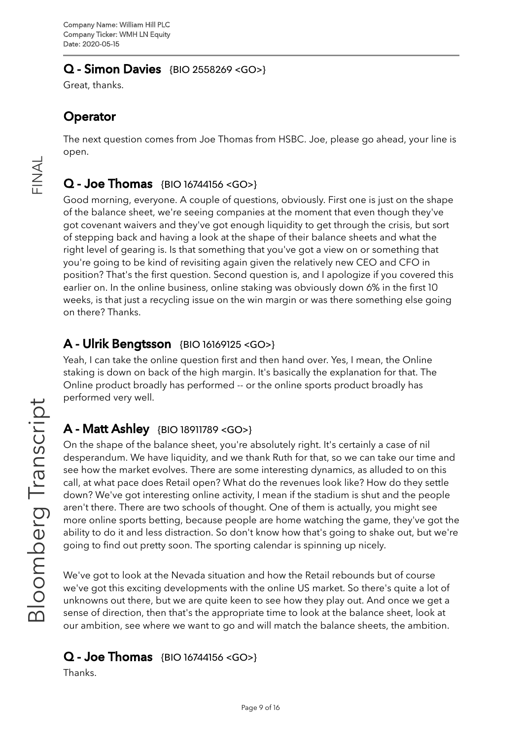#### Q - Simon Davies {BIO [2558269](https://blinks.bloomberg.com/screens/BIO%202558269) <GO>}

Great, thanks.

### **Operator**

The next question comes from Joe Thomas from HSBC. Joe, please go ahead, your line is open.

### $Q - Joe Thomas$  {BIO [16744156](https://blinks.bloomberg.com/screens/BIO%2016744156) <GO>}

Good morning, everyone. A couple of questions, obviously. First one is just on the shape of the balance sheet, we're seeing companies at the moment that even though they've got covenant waivers and they've got enough liquidity to get through the crisis, but sort of stepping back and having a look at the shape of their balance sheets and what the right level of gearing is. Is that something that you've got a view on or something that you're going to be kind of revisiting again given the relatively new CEO and CFO in position? That's the first question. Second question is, and I apologize if you covered this earlier on. In the online business, online staking was obviously down 6% in the first 10 weeks, is that just a recycling issue on the win margin or was there something else going on there? Thanks.

#### A - Ulrik Bengtsson {BIO [16169125](https://blinks.bloomberg.com/screens/BIO%2016169125) <GO>}

Yeah, I can take the online question first and then hand over. Yes, I mean, the Online staking is down on back of the high margin. It's basically the explanation for that. The Online product broadly has performed -- or the online sports product broadly has performed very well.

### A - Matt Ashley {BIO [18911789](https://blinks.bloomberg.com/screens/BIO%2018911789) <GO>}

On the shape of the balance sheet, you're absolutely right. It's certainly a case of nil desperandum. We have liquidity, and we thank Ruth for that, so we can take our time and see how the market evolves. There are some interesting dynamics, as alluded to on this call, at what pace does Retail open? What do the revenues look like? How do they settle down? We've got interesting online activity, I mean if the stadium is shut and the people aren't there. There are two schools of thought. One of them is actually, you might see more online sports betting, because people are home watching the game, they've got the ability to do it and less distraction. So don't know how that's going to shake out, but we're going to find out pretty soon. The sporting calendar is spinning up nicely.

We've got to look at the Nevada situation and how the Retail rebounds but of course we've got this exciting developments with the online US market. So there's quite a lot of unknowns out there, but we are quite keen to see how they play out. And once we get a sense of direction, then that's the appropriate time to look at the balance sheet, look at our ambition, see where we want to go and will match the balance sheets, the ambition.

#### $Q - Joe Thomas$  {BIO [16744156](https://blinks.bloomberg.com/screens/BIO%2016744156) <GO>}

Thanks.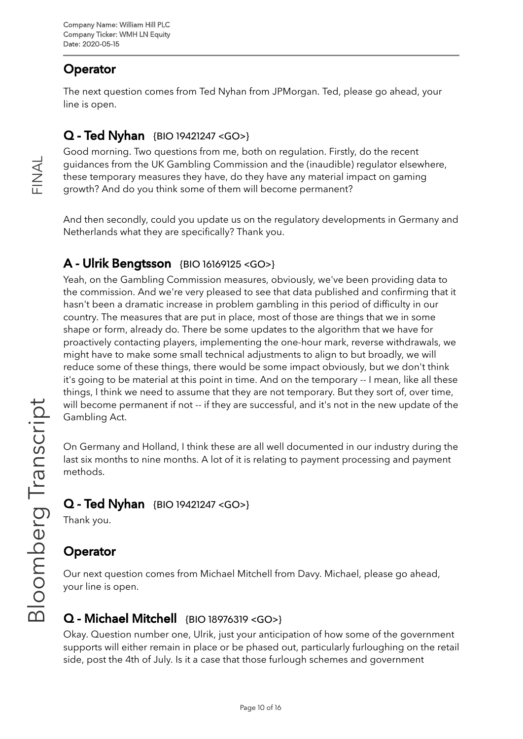## **Operator**

 $\frac{\mathsf{Z}}{\mathbb{L}}$  .

 $\prec$  $\overline{\phantom{0}}$  The next question comes from Ted Nyhan from JPMorgan. Ted, please go ahead, your line is open.

### Q - Ted Nyhan {BIO [19421247](https://blinks.bloomberg.com/screens/BIO%2019421247) <GO>}

Good morning. Two questions from me, both on regulation. Firstly, do the recent guidances from the UK Gambling Commission and the (inaudible) regulator elsewhere, these temporary measures they have, do they have any material impact on gaming growth? And do you think some of them will become permanent?

And then secondly, could you update us on the regulatory developments in Germany and Netherlands what they are specifically? Thank you.

### A - Ulrik Bengtsson {BIO [16169125](https://blinks.bloomberg.com/screens/BIO%2016169125) <GO>}

Yeah, on the Gambling Commission measures, obviously, we've been providing data to the commission. And we're very pleased to see that data published and confirming that it hasn't been a dramatic increase in problem gambling in this period of difficulty in our country. The measures that are put in place, most of those are things that we in some shape or form, already do. There be some updates to the algorithm that we have for proactively contacting players, implementing the one-hour mark, reverse withdrawals, we might have to make some small technical adjustments to align to but broadly, we will reduce some of these things, there would be some impact obviously, but we don't think it's going to be material at this point in time. And on the temporary -- I mean, like all these things, I think we need to assume that they are not temporary. But they sort of, over time, will become permanent if not -- if they are successful, and it's not in the new update of the Gambling Act.

On Germany and Holland, I think these are all well documented in our industry during the last six months to nine months. A lot of it is relating to payment processing and payment methods.

### Q - Ted Nyhan {BIO [19421247](https://blinks.bloomberg.com/screens/BIO%2019421247) <GO>}

Thank you.

### Operator

Our next question comes from Michael Mitchell from Davy. Michael, please go ahead, your line is open.

### Q - Michael Mitchell {BIO [18976319](https://blinks.bloomberg.com/screens/BIO%2018976319) <GO>}

Okay. Question number one, Ulrik, just your anticipation of how some of the government supports will either remain in place or be phased out, particularly furloughing on the retail side, post the 4th of July. Is it a case that those furlough schemes and government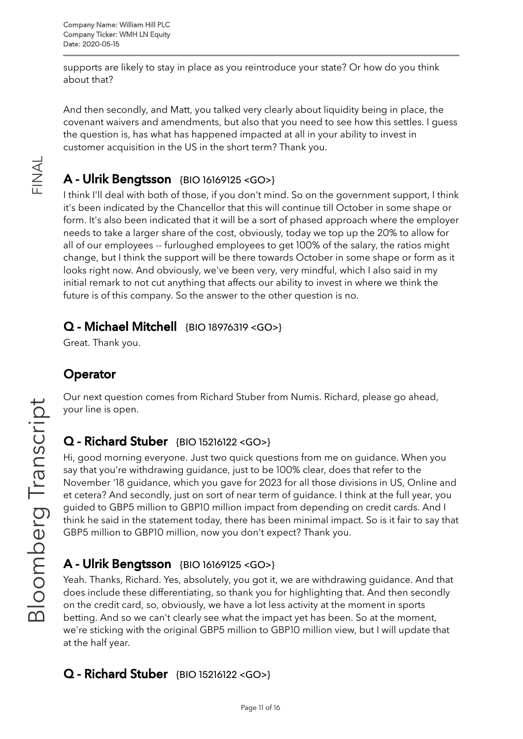supports are likely to stay in place as you reintroduce your state? Or how do you think about that?

And then secondly, and Matt, you talked very clearly about liquidity being in place, the covenant waivers and amendments, but also that you need to see how this settles. I guess the question is, has what has happened impacted at all in your ability to invest in customer acquisition in the US in the short term? Thank you.

## A - Ulrik Bengtsson {BIO [16169125](https://blinks.bloomberg.com/screens/BIO%2016169125) <GO>}

I think I'll deal with both of those, if you don't mind. So on the government support, I think it's been indicated by the Chancellor that this will continue till October in some shape or form. It's also been indicated that it will be a sort of phased approach where the employer needs to take a larger share of the cost, obviously, today we top up the 20% to allow for all of our employees -- furloughed employees to get 100% of the salary, the ratios might change, but I think the support will be there towards October in some shape or form as it looks right now. And obviously, we've been very, very mindful, which I also said in my initial remark to not cut anything that affects our ability to invest in where we think the future is of this company. So the answer to the other question is no.

#### Q - Michael Mitchell {BIO [18976319](https://blinks.bloomberg.com/screens/BIO%2018976319) <GO>}

Great. Thank you.

### **Operator**

Our next question comes from Richard Stuber from Numis. Richard, please go ahead, your line is open.

### Q - Richard Stuber {BIO [15216122](https://blinks.bloomberg.com/screens/BIO%2015216122) <GO>}

Hi, good morning everyone. Just two quick questions from me on guidance. When you say that you're withdrawing guidance, just to be 100% clear, does that refer to the November '18 guidance, which you gave for 2023 for all those divisions in US, Online and et cetera? And secondly, just on sort of near term of guidance. I think at the full year, you guided to GBP5 million to GBP10 million impact from depending on credit cards. And I think he said in the statement today, there has been minimal impact. So is it fair to say that GBP5 million to GBP10 million, now you don't expect? Thank you.

## A - Ulrik Bengtsson {BIO [16169125](https://blinks.bloomberg.com/screens/BIO%2016169125) <GO>}

Yeah. Thanks, Richard. Yes, absolutely, you got it, we are withdrawing guidance. And that does include these differentiating, so thank you for highlighting that. And then secondly on the credit card, so, obviously, we have a lot less activity at the moment in sports betting. And so we can't clearly see what the impact yet has been. So at the moment, we're sticking with the original GBP5 million to GBP10 million view, but I will update that at the half year.

### Q - Richard Stuber {BIO [15216122](https://blinks.bloomberg.com/screens/BIO%2015216122) <GO>}

 $\frac{\mathsf{Z}}{\mathbb{L}}$  .

 $\prec$  $\overline{\phantom{0}}$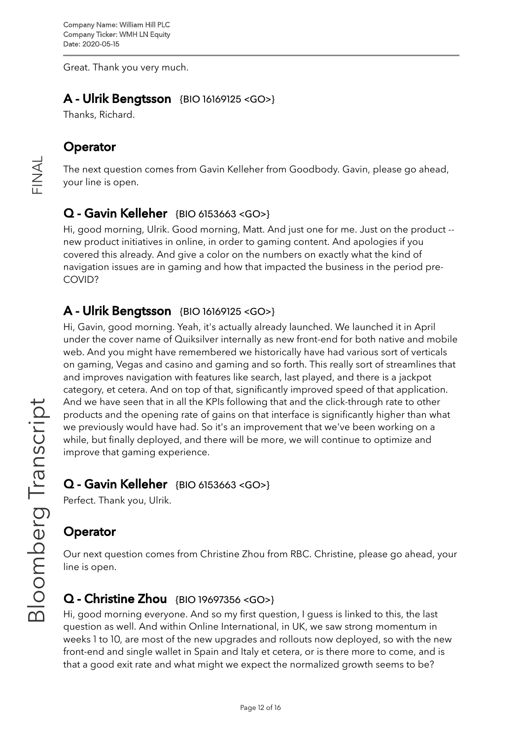Great. Thank you very much.

#### A - Ulrik Bengtsson {BIO [16169125](https://blinks.bloomberg.com/screens/BIO%2016169125) <GO>}

Thanks, Richard.

#### **Operator**

 $\frac{\mathsf{Z}}{\mathbb{L}}$  .

 $\prec$  $\overline{\phantom{0}}$ 

The next question comes from Gavin Kelleher from Goodbody. Gavin, please go ahead, your line is open.

#### Q - Gavin Kelleher {BIO [6153663](https://blinks.bloomberg.com/screens/BIO%206153663) <GO>}

Hi, good morning, Ulrik. Good morning, Matt. And just one for me. Just on the product - new product initiatives in online, in order to gaming content. And apologies if you covered this already. And give a color on the numbers on exactly what the kind of navigation issues are in gaming and how that impacted the business in the period pre-COVID?

#### A - Ulrik Bengtsson {BIO [16169125](https://blinks.bloomberg.com/screens/BIO%2016169125) <GO>}

Hi, Gavin, good morning. Yeah, it's actually already launched. We launched it in April under the cover name of Quiksilver internally as new front-end for both native and mobile web. And you might have remembered we historically have had various sort of verticals on gaming, Vegas and casino and gaming and so forth. This really sort of streamlines that and improves navigation with features like search, last played, and there is a jackpot category, et cetera. And on top of that, significantly improved speed of that application. And we have seen that in all the KPIs following that and the click-through rate to other products and the opening rate of gains on that interface is significantly higher than what we previously would have had. So it's an improvement that we've been working on a while, but finally deployed, and there will be more, we will continue to optimize and improve that gaming experience.

#### $Q$  - Gavin Kelleher {BIO [6153663](https://blinks.bloomberg.com/screens/BIO%206153663) <GO>}

Perfect. Thank you, Ulrik.

#### **Operator**

Our next question comes from Christine Zhou from RBC. Christine, please go ahead, your line is open.

#### Q - Christine Zhou {BIO [19697356](https://blinks.bloomberg.com/screens/BIO%2019697356) <GO>}

Hi, good morning everyone. And so my first question, I guess is linked to this, the last question as well. And within Online International, in UK, we saw strong momentum in weeks 1 to 10, are most of the new upgrades and rollouts now deployed, so with the new front-end and single wallet in Spain and Italy et cetera, or is there more to come, and is that a good exit rate and what might we expect the normalized growth seems to be?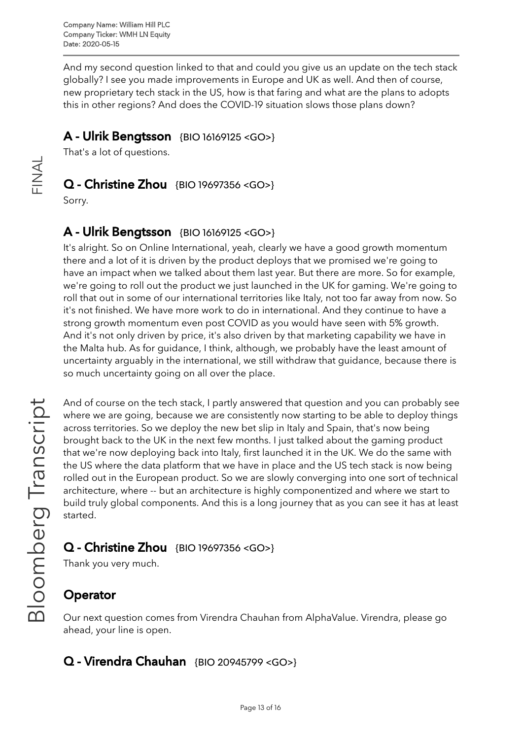And my second question linked to that and could you give us an update on the tech stack globally? I see you made improvements in Europe and UK as well. And then of course, new proprietary tech stack in the US, how is that faring and what are the plans to adopts this in other regions? And does the COVID-19 situation slows those plans down?

#### A - Ulrik Bengtsson {BIO [16169125](https://blinks.bloomberg.com/screens/BIO%2016169125) <GO>}

That's a lot of questions.

#### Q - Christine Zhou {BIO [19697356](https://blinks.bloomberg.com/screens/BIO%2019697356) <GO>}

Sorry.

 $\frac{\mathsf{Z}}{\mathbb{L}}$  .

 $\prec$  $\overline{\phantom{0}}$ 

#### A - Ulrik Bengtsson {BIO [16169125](https://blinks.bloomberg.com/screens/BIO%2016169125) <GO>}

It's alright. So on Online International, yeah, clearly we have a good growth momentum there and a lot of it is driven by the product deploys that we promised we're going to have an impact when we talked about them last year. But there are more. So for example, we're going to roll out the product we just launched in the UK for gaming. We're going to roll that out in some of our international territories like Italy, not too far away from now. So it's not finished. We have more work to do in international. And they continue to have a strong growth momentum even post COVID as you would have seen with 5% growth. And it's not only driven by price, it's also driven by that marketing capability we have in the Malta hub. As for guidance, I think, although, we probably have the least amount of uncertainty arguably in the international, we still withdraw that guidance, because there is so much uncertainty going on all over the place.

And of course on the tech stack, I partly answered that question and you can probably see where we are going, because we are consistently now starting to be able to deploy things across territories. So we deploy the new bet slip in Italy and Spain, that's now being brought back to the UK in the next few months. I just talked about the gaming product that we're now deploying back into Italy, first launched it in the UK. We do the same with the US where the data platform that we have in place and the US tech stack is now being rolled out in the European product. So we are slowly converging into one sort of technical architecture, where -- but an architecture is highly componentized and where we start to build truly global components. And this is a long journey that as you can see it has at least started.

### Q - Christine Zhou {BIO [19697356](https://blinks.bloomberg.com/screens/BIO%2019697356) <GO>}

Thank you very much.

## **Operator**

Our next question comes from Virendra Chauhan from AlphaValue. Virendra, please go ahead, your line is open.

### Q - Virendra Chauhan {BIO [20945799](https://blinks.bloomberg.com/screens/BIO%2020945799) <GO>}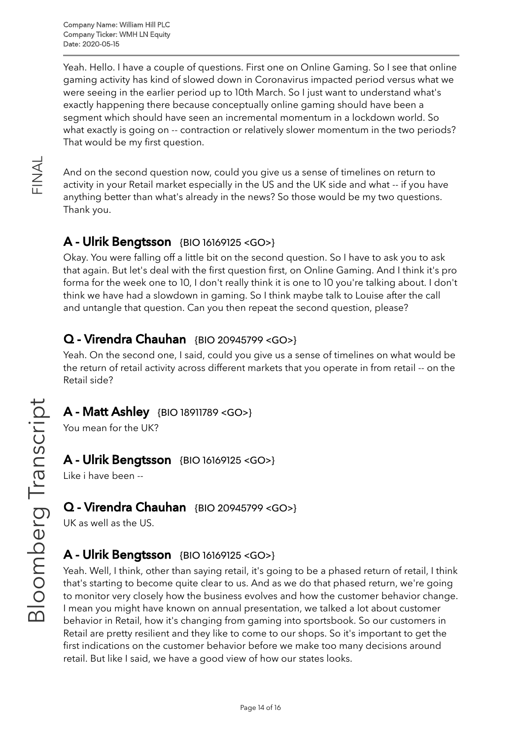Yeah. Hello. I have a couple of questions. First one on Online Gaming. So I see that online gaming activity has kind of slowed down in Coronavirus impacted period versus what we were seeing in the earlier period up to 10th March. So I just want to understand what's exactly happening there because conceptually online gaming should have been a segment which should have seen an incremental momentum in a lockdown world. So what exactly is going on -- contraction or relatively slower momentum in the two periods? That would be my first question.

And on the second question now, could you give us a sense of timelines on return to activity in your Retail market especially in the US and the UK side and what -- if you have anything better than what's already in the news? So those would be my two questions. Thank you.

### A - Ulrik Bengtsson {BIO [16169125](https://blinks.bloomberg.com/screens/BIO%2016169125) <GO>}

Okay. You were falling off a little bit on the second question. So I have to ask you to ask that again. But let's deal with the first question first, on Online Gaming. And I think it's pro forma for the week one to 10, I don't really think it is one to 10 you're talking about. I don't think we have had a slowdown in gaming. So I think maybe talk to Louise after the call and untangle that question. Can you then repeat the second question, please?

### Q - Virendra Chauhan {BIO [20945799](https://blinks.bloomberg.com/screens/BIO%2020945799) <GO>}

Yeah. On the second one, I said, could you give us a sense of timelines on what would be the return of retail activity across different markets that you operate in from retail -- on the Retail side?

#### A - Matt Ashley {BIO [18911789](https://blinks.bloomberg.com/screens/BIO%2018911789) <GO>}

You mean for the UK?

#### A - Ulrik Bengtsson {BIO [16169125](https://blinks.bloomberg.com/screens/BIO%2016169125) <GO>}

Like i have been --

#### Q - Virendra Chauhan {BIO [20945799](https://blinks.bloomberg.com/screens/BIO%2020945799) <GO>}

UK as well as the US.

### **A - Ulrik Bengtsson** {BIO [16169125](https://blinks.bloomberg.com/screens/BIO%2016169125) <GO>}

Yeah. Well, I think, other than saying retail, it's going to be a phased return of retail, I think that's starting to become quite clear to us. And as we do that phased return, we're going to monitor very closely how the business evolves and how the customer behavior change. I mean you might have known on annual presentation, we talked a lot about customer behavior in Retail, how it's changing from gaming into sportsbook. So our customers in Retail are pretty resilient and they like to come to our shops. So it's important to get the first indications on the customer behavior before we make too many decisions around retail. But like I said, we have a good view of how our states looks.

 $\frac{\mathsf{Z}}{\mathbb{L}}$  .

 $\prec$  $\overline{\phantom{0}}$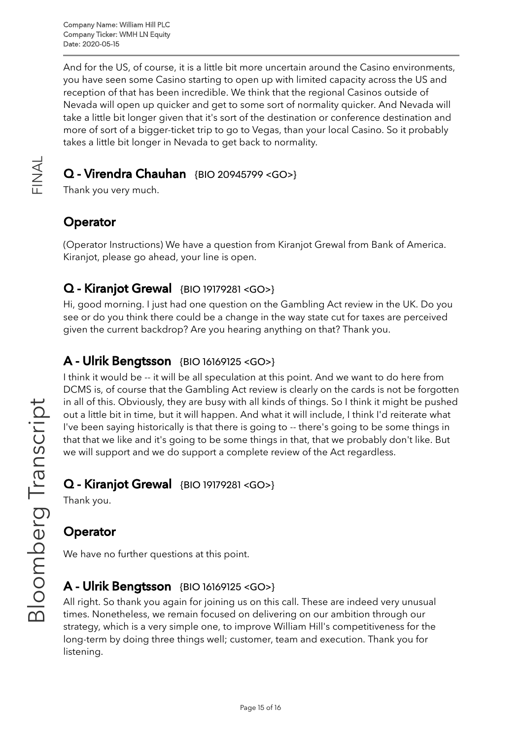And for the US, of course, it is a little bit more uncertain around the Casino environments, you have seen some Casino starting to open up with limited capacity across the US and reception of that has been incredible. We think that the regional Casinos outside of Nevada will open up quicker and get to some sort of normality quicker. And Nevada will take a little bit longer given that it's sort of the destination or conference destination and more of sort of a bigger-ticket trip to go to Vegas, than your local Casino. So it probably takes a little bit longer in Nevada to get back to normality.

### Q - Virendra Chauhan {BIO [20945799](https://blinks.bloomberg.com/screens/BIO%2020945799) <GO>}

Thank you very much.

#### **Operator**

 $\frac{\mathsf{Z}}{\mathbb{L}}$  .

 $\prec$  $\overline{\phantom{0}}$ 

> (Operator Instructions) We have a question from Kiranjot Grewal from Bank of America. Kiranjot, please go ahead, your line is open.

#### Q - Kiranjot Grewal {BIO [19179281](https://blinks.bloomberg.com/screens/BIO%2019179281) <GO>}

Hi, good morning. I just had one question on the Gambling Act review in the UK. Do you see or do you think there could be a change in the way state cut for taxes are perceived given the current backdrop? Are you hearing anything on that? Thank you.

#### A - Ulrik Bengtsson {BIO [16169125](https://blinks.bloomberg.com/screens/BIO%2016169125) <GO>}

I think it would be -- it will be all speculation at this point. And we want to do here from DCMS is, of course that the Gambling Act review is clearly on the cards is not be forgotten in all of this. Obviously, they are busy with all kinds of things. So I think it might be pushed out a little bit in time, but it will happen. And what it will include, I think I'd reiterate what I've been saying historically is that there is going to -- there's going to be some things in that that we like and it's going to be some things in that, that we probably don't like. But we will support and we do support a complete review of the Act regardless.

#### Q - Kiranjot Grewal {BIO [19179281](https://blinks.bloomberg.com/screens/BIO%2019179281) <GO>}

Thank you.

### **Operator**

We have no further questions at this point.

#### **A - Ulrik Bengtsson** {BIO [16169125](https://blinks.bloomberg.com/screens/BIO%2016169125) <GO>}

All right. So thank you again for joining us on this call. These are indeed very unusual times. Nonetheless, we remain focused on delivering on our ambition through our strategy, which is a very simple one, to improve William Hill's competitiveness for the long-term by doing three things well; customer, team and execution. Thank you for listening.